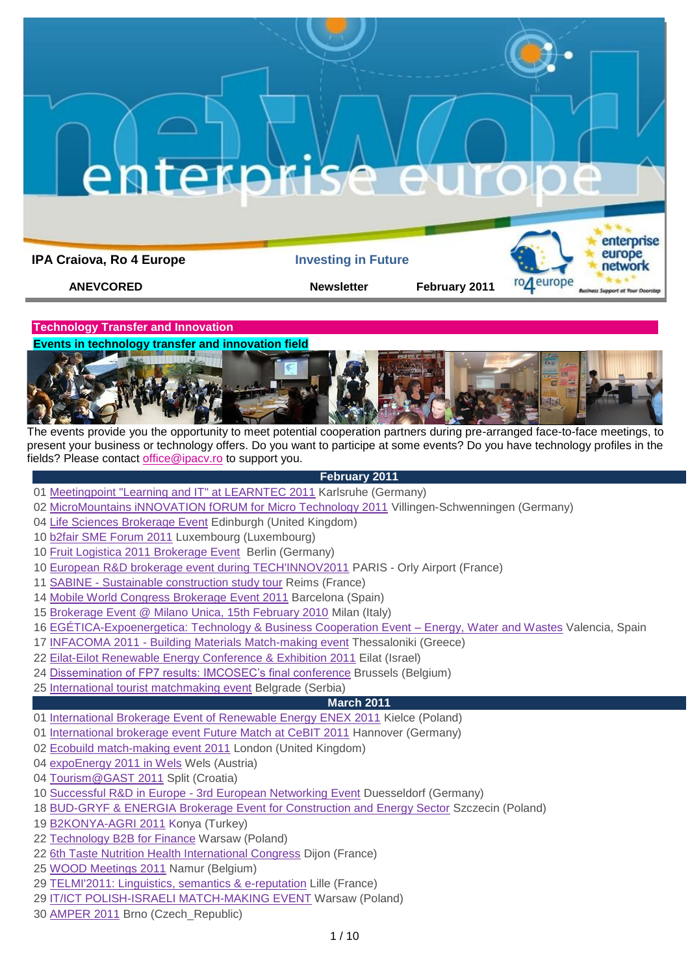

**Events in technology transfer and innovation field**



The events provide you the opportunity to meet potential cooperation partners during pre-arranged face-to-face meetings, to present your business or technology offers. Do you want to participe at some events? Do you have technology profiles in the fields? Please contact [office@ipacv.ro](mailto:office@ipacv.ro) to support you.

### **February 2011**

- [Meetingpoint "Learning and IT" at LEARNTEC 2011](http://www.enterprise-europe-network.ec.europa.eu/publicwebsite/bemt/home.cfm?EventID=2550) Karlsruhe (Germany)
- [MicroMountains iNNOVATION fORUM for Micro Technology 2011](http://www.enterprise-europe-network.ec.europa.eu/publicwebsite/calendar/viewdetails.cfm?EventID=2519&type=future) Villingen-Schwenningen (Germany)
- [Life Sciences Brokerage Event](http://www.enterprise-europe-network.ec.europa.eu/publicwebsite/calendar/viewdetails.cfm?EventID=2517&type=future) Edinburgh (United Kingdom)
- [b2fair SME Forum 2011](http://www.enterprise-europe-network.ec.europa.eu/publicwebsite/calendar/viewdetails.cfm?EventID=2062&type=future) Luxembourg (Luxembourg)
- [Fruit Logistica 2011 Brokerage Event](http://www.enterprise-europe-network.ec.europa.eu/publicwebsite/calendar/viewdetails.cfm?EventID=2561&type=future) Berlin (Germany)
- [European R&D brokerage event during TECH'INNOV2011](http://www.enterprise-europe-network.ec.europa.eu/publicwebsite/calendar/viewdetails.cfm?EventID=2564&type=future) PARIS Orly Airport (France)
- 11 SABINE [Sustainable construction study tour](http://www.enterprise-europe-network.ec.europa.eu/publicwebsite/calendar/viewdetails.cfm?EventID=2581&type=future) Reims (France)
- [Mobile World Congress Brokerage](http://www.enterprise-europe-network.ec.europa.eu/publicwebsite/calendar/viewdetails.cfm?EventID=2153&type=future) Event 2011 Barcelona (Spain)
- [Brokerage Event @ Milano Unica, 15th February 2010](http://www.enterprise-europe-network.ec.europa.eu/publicwebsite/bemt/home.cfm?EventID=2575) Milan (Italy)
- [EGÉTICA-Expoenergetica: Technology & Business Cooperation Event –](http://www.enterprise-europe-network.ec.europa.eu/publicwebsite/bemt/home.cfm?EventID=2460) Energy, Water and Wastes Valencia, Spain
- INFACOMA 2011 [Building Materials Match-making event](http://www.enterprise-europe-network.ec.europa.eu/publicwebsite/calendar/viewdetails.cfm?EventID=2571&type=future) Thessaloniki (Greece)
- [Eilat-Eilot Renewable Energy Conference & Exhibition 2011](http://www.enterprise-europe-network.ec.europa.eu/publicwebsite/calendar/viewdetails.cfm?EventID=2556&type=future) Eilat (Israel)
- [Dissemination of FP7 results: IMCOSEC's final conference](http://www.enterprise-europe-network.ec.europa.eu/publicwebsite/calendar/viewdetails.cfm?EventID=2590&type=future) Brussels (Belgium)
- [International tourist matchmaking event](http://www.enterprise-europe-network.ec.europa.eu/publicwebsite/calendar/viewdetails.cfm?EventID=2595&type=future) Belgrade (Serbia)

# **March 2011**

- [International Brokerage Event of Renewable Energy ENEX 2011](http://www.enterprise-europe-network.ec.europa.eu/publicwebsite/bemt/home.cfm?EventID=2574) Kielce (Poland)
- [International brokerage event Future Match at CeBIT 2011](http://www.enterprise-europe-network.ec.europa.eu/publicwebsite/calendar/viewdetails.cfm?EventID=2566&type=future) Hannover (Germany)
- [Ecobuild match-making event 2011](http://www.enterprise-europe-network.ec.europa.eu/publicwebsite/calendar/viewdetails.cfm?EventID=2479&type=future) London (United Kingdom)
- [expoEnergy 2011 in Wels](http://www.enterprise-europe-network.ec.europa.eu/publicwebsite/calendar/viewdetails.cfm?EventID=2569&type=future) Wels (Austria)
- [Tourism@GAST 2011](http://www.enterprise-europe-network.ec.europa.eu/publicwebsite/calendar/viewdetails.cfm?EventID=2577&type=future) Split (Croatia)
- Successful R&D in Europe [3rd European Networking Event](http://www.enterprise-europe-network.ec.europa.eu/publicwebsite/calendar/viewdetails.cfm?EventID=2573&type=future) Duesseldorf (Germany)
- [BUD-GRYF & ENERGIA Brokerage Event for Construction and Energy Sector](http://www.enterprise-europe-network.ec.europa.eu/publicwebsite/calendar/viewdetails.cfm?EventID=2381&type=future) Szczecin (Poland)
- [B2KONYA-AGRI 2011](http://www.enterprise-europe-network.ec.europa.eu/publicwebsite/calendar/viewdetails.cfm?EventID=2585&type=future) Konya (Turkey)
- [Technology B2B for Finance](http://www.enterprise-europe-network.ec.europa.eu/publicwebsite/calendar/viewdetails.cfm?EventID=2591&type=future) Warsaw (Poland)
- [6th Taste Nutrition Health International Congress](http://www.enterprise-europe-network.ec.europa.eu/publicwebsite/calendar/viewdetails.cfm?EventID=2551&type=future) Dijon (France)
- [WOOD Meetings 2011](http://www.enterprise-europe-network.ec.europa.eu/publicwebsite/bemt/home.cfm?EventID=2471) Namur (Belgium)
- [TELMI'2011: Linguistics, semantics & e-reputation](http://www.enterprise-europe-network.ec.europa.eu/publicwebsite/calendar/viewdetails.cfm?EventID=2596&type=future) Lille (France)
- [IT/ICT POLISH-ISRAELI MATCH-MAKING EVENT](http://www.enterprise-europe-network.ec.europa.eu/publicwebsite/bemt/home.cfm?EventID=2588) Warsaw (Poland)
- [AMPER 2011](http://www.enterprise-europe-network.ec.europa.eu/publicwebsite/bemt/home.cfm?EventID=2584) Brno (Czech\_Republic)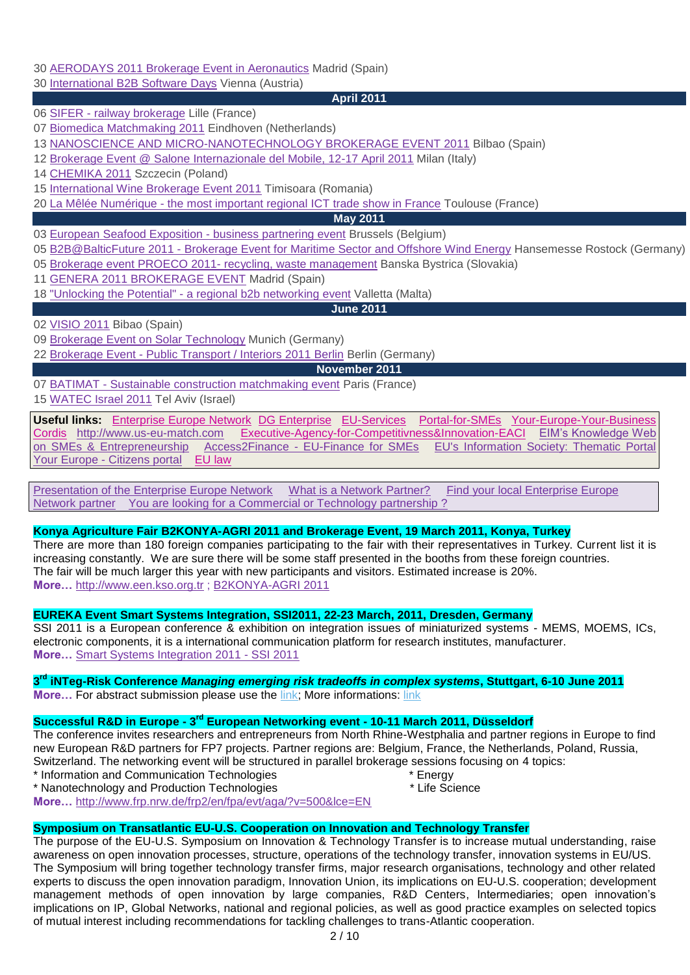# 30 [AERODAYS 2011 Brokerage Event in Aeronautics](http://www.enterprise-europe-network.ec.europa.eu/publicwebsite/bemt/home.cfm?EventID=2541) Madrid (Spain)

30 [International B2B Software Days](http://www.enterprise-europe-network.ec.europa.eu/publicwebsite/calendar/viewdetails.cfm?EventID=2565&type=future) Vienna (Austria)

## **April 2011**

06 SIFER - [railway brokerage](http://www.enterprise-europe-network.ec.europa.eu/publicwebsite/bemt/home.cfm?EventID=2583) Lille (France)

07 [Biomedica Matchmaking 2011](http://www.enterprise-europe-network.ec.europa.eu/publicwebsite/bemt/home.cfm?EventID=2560) Eindhoven (Netherlands)

13 [NANOSCIENCE AND MICRO-NANOTECHNOLOGY BROKERAGE EVENT 2011](http://www.enterprise-europe-network.ec.europa.eu/publicwebsite/bemt/home.cfm?EventID=2547) Bilbao (Spain)

12 [Brokerage Event @ Salone Internazionale del Mobile, 12-17 April 2011](http://www.enterprise-europe-network.ec.europa.eu/publicwebsite/bemt/home.cfm?EventID=2592) Milan (Italy)

14 [CHEMIKA 2011](http://www.enterprise-europe-network.ec.europa.eu/publicwebsite/bemt/home.cfm?EventID=2477) Szczecin (Poland)

15 [International Wine Brokerage Event 2011](http://www.enterprise-europe-network.ec.europa.eu/publicwebsite/bemt/home.cfm?EventID=2587) Timisoara (Romania)

20 La Mêlée Numérique - [the most important regional ICT trade show in France](http://www.enterprise-europe-network.ec.europa.eu/publicwebsite/calendar/viewdetails.cfm?EventID=2553&type=future) Toulouse (France)

## **May 2011**

03 [European Seafood Exposition -](http://www.enterprise-europe-network.ec.europa.eu/publicwebsite/bemt/home.cfm?EventID=2572) business partnering event Brussels (Belgium)

05 B2B@BalticFuture 2011 - [Brokerage Event for Maritime Sector and Offshore Wind Energy](http://www.enterprise-europe-network.ec.europa.eu/publicwebsite/calendar/viewdetails.cfm?EventID=2531&type=future) Hansemesse Rostock (Germany)

05 [Brokerage event PROECO 2011-](http://www.enterprise-europe-network.ec.europa.eu/publicwebsite/bemt/home.cfm?EventID=2597) recycling, waste management Banska Bystrica (Slovakia)

11 [GENERA 2011 BROKERAGE EVENT](http://www.enterprise-europe-network.ec.europa.eu/publicwebsite/calendar/viewdetails.cfm?EventID=2555&type=future) Madrid (Spain)

18 "Unlocking the Potential" - [a regional b2b networking event](http://www.enterprise-europe-network.ec.europa.eu/publicwebsite/bemt/home.cfm?EventID=2539) Valletta (Malta)

## **June 2011**

02 [VISIO 2011](http://www.enterprise-europe-network.ec.europa.eu/publicwebsite/bemt/home.cfm?EventID=2579) Bibao (Spain)

09 [Brokerage Event on Solar Technology](http://www.enterprise-europe-network.ec.europa.eu/publicwebsite/calendar/viewdetails.cfm?EventID=2563&type=future) Munich (Germany)

22 Brokerage Event - [Public Transport / Interiors 2011 Berlin](http://www.enterprise-europe-network.ec.europa.eu/publicwebsite/calendar/viewdetails.cfm?EventID=2582&type=future) Berlin (Germany)

## **November 2011**

07 BATIMAT - [Sustainable construction matchmaking event](http://www.enterprise-europe-network.ec.europa.eu/publicwebsite/calendar/viewdetails.cfm?EventID=2296&type=future) Paris (France)

15 [WATEC Israel 2011](http://www.enterprise-europe-network.ec.europa.eu/publicwebsite/calendar/viewdetails.cfm?EventID=2562&type=future) Tel Aviv (Israel)

**Useful links:** [Enterprise Europe Network](http://www.enterprise-europe-network.ec.europa.eu/index_en.htm) [DG Enterprise](http://ec.europa.eu/enterprise/index_en.htm) [EU-Services](http://ec.europa.eu/youreurope/business/index_ro.htm) [Portal-for-SMEs](http://ec.europa.eu/enterprise/sme/index_en.htm)[Your-Europe-Your-Business](http://ec.europa.eu/youreurope/business/index_ro.htm) [Cordis](http://cordis.europa.eu/home_en.html) [http://www.us-eu-match.com](http://www.us-eu-match.com/) [Executive-Agency-for-Competitivness&Innovation-EACI](http://ec.europa.eu/eaci) [EIM's Knowledge Web](http://www.entrepreneurship-sme.eu/index.cfm/1,1,0,0,html)  [on SMEs & Entrepreneurship](http://www.entrepreneurship-sme.eu/index.cfm/1,1,0,0,html) Access2Finance - [EU-Finance for SMEs](http://www.access2finance.eu/) [EU's Information Society: Thematic Portal](http://ec.europa.eu/information_society/newsroom/cf/menu.cfm)  Your Europe - [Citizens portal](http://www.oureuropebusiness.eu/2009/11/19/your-europe-citizens-a-total-revamp-of-ye-bs-sister-portal/) [EU law](http://eur-lex.europa.eu/en/index.htm)

[Presentation of the Enterprise Europe Network](http://www.enterprise-europe-network.ec.europa.eu/about/about) [What is a Network Partner?](http://www.enterprise-europe-network.ec.europa.eu/about/partners) [Find your local Enterprise Europe](http://www.enterprise-europe-network.ec.europa.eu/about/branches)  [Network partner](http://www.enterprise-europe-network.ec.europa.eu/about/branches) [You are looking for a Commercial or Technology partnership ?](http://www.enterprise-europe-network.ec.europa.eu/services/going-international) 

# **Konya Agriculture Fair [B2KONYA-AGRI 2011](http://www.enterprise-europe-network.ec.europa.eu/publicwebsite/calendar/viewdetails.cfm?EventID=2585&type=future) and Brokerage Event, 19 March 2011, Konya, Turkey**

There are more than 180 foreign companies participating to the fair with their representatives in Turkey. Current list it is increasing constantly. We are sure there will be some staff presented in the booths from these foreign countries. The fair will be much larger this year with new participants and visitors. Estimated increase is 20%. **More…** [http://www.een.kso.org.tr](http://www.een.kso.org.tr/) ; [B2KONYA-AGRI 2011](http://www.enterprise-europe-network.ec.europa.eu/publicwebsite/calendar/viewdetails.cfm?EventID=2585&type=future)

# **EUREKA Event [Smart Systems Integration, SSI2011,](http://www.eurekanetwork.org/showevent?p_r_p_564233524_articleId=310284&p_r_p_564233524_groupId=10137) 22-23 March, 2011, Dresden, Germany**

SSI 2011 is a European conference & exhibition on integration issues of miniaturized systems - MEMS, MOEMS, ICs, electronic components, it is a international communication platform for research institutes, manufacturer. **More…** [Smart Systems Integration 2011 -](http://www.eurekanetwork.org/showevent?p_r_p_564233524_articleId=310284&p_r_p_564233524_groupId=10137) SSI 2011

### **3 rd iNTeg-Risk Conference** *Managing emerging risk tradeoffs in complex systems***, Stuttgart, 6-10 June 2011 More…** For abstract submission please use the [link;](https://abstracts.congrex.com/scripts/jmevent/Abstract.asp?Client_Id=%27CXGE%27&Project_Id=%271106809%27&Form_Id=1&Language_Code) More informations: [link](http://www.eu-vri.eu/fwlink/?LinkID=310)

# **Successful R&D in Europe - 3<sup>rd</sup> European Networking event - 10-11 March 2011, Düsseldorf**

The conference invites researchers and entrepreneurs from North Rhine-Westphalia and partner regions in Europe to find new European R&D partners for FP7 projects. Partner regions are: Belgium, France, the Netherlands, Poland, Russia, Switzerland. The networking event will be structured in parallel brokerage sessions focusing on 4 topics:

- \* Information and Communication Technologies \* Energy
- \* Nanotechnology and Production Technologies \* Life Science

**More…** <http://www.frp.nrw.de/frp2/en/fpa/evt/aga/?v=500&lce=EN>

## **Symposium on Transatlantic EU-U.S. Cooperation on Innovation and Technology Transfer**

The purpose of the EU-U.S. Symposium on Innovation & Technology Transfer is to increase mutual understanding, raise awareness on open innovation processes, structure, operations of the technology transfer, innovation systems in EU/US. The Symposium will bring together technology transfer firms, major research organisations, technology and other related experts to discuss the open innovation paradigm, Innovation Union, its implications on EU-U.S. cooperation; development management methods of open innovation by large companies, R&D Centers, Intermediaries; open innovation's implications on IP, Global Networks, national and regional policies, as well as good practice examples on selected topics of mutual interest including recommendations for tackling challenges to trans-Atlantic cooperation.

- 
-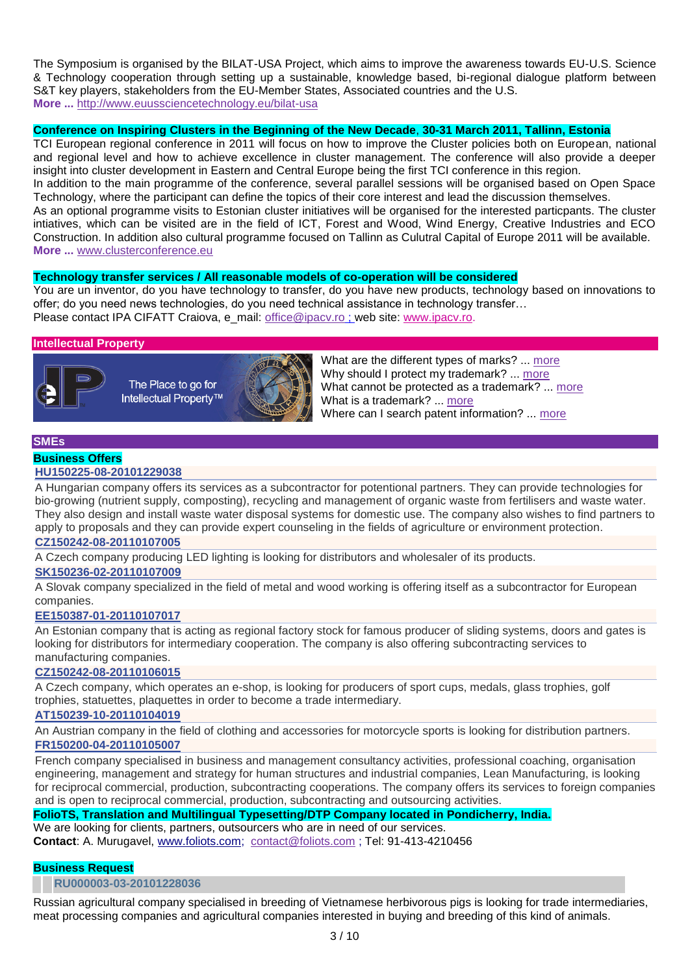The Symposium is organised by the BILAT-USA Project, which aims to improve the awareness towards EU-U.S. Science & Technology cooperation through setting up a sustainable, knowledge based, bi-regional dialogue platform between S&T key players, stakeholders from the EU-Member States, Associated countries and the U.S. **More ...** <http://www.euussciencetechnology.eu/bilat-usa>

### **Conference on Inspiring Clusters in the Beginning of the New Decade**, **30-31 March 2011, Tallinn, Estonia**

TCI European regional conference in 2011 will focus on how to improve the Cluster policies both on European, national and regional level and how to achieve excellence in cluster management. The conference will also provide a deeper insight into cluster development in Eastern and Central Europe being the first TCI conference in this region. In addition to the main programme of the conference, several parallel sessions will be organised based on Open Space Technology, where the participant can define the topics of their core interest and lead the discussion themselves. As an optional programme visits to Estonian cluster initiatives will be organised for the interested particpants. The cluster intiatives, which can be visited are in the field of ICT, Forest and Wood, Wind Energy, Creative Industries and ECO Construction. In addition also cultural programme focused on Tallinn as Culutral Capital of Europe 2011 will be available.

#### **More ...** [www.clusterconference.eu](http://www.clusterconference.eu/)

### **Technology transfer services / All reasonable models of co-operation will be considered**

You are un inventor, do you have technology to transfer, do you have new products, technology based on innovations to offer; do you need news technologies, do you need technical assistance in technology transfer… Please contact IPA CIFATT Craiova, e\_mail: [office@ipacv.ro](mailto:office@ipacv.ro) ; web site: [www.ipacv.ro.](http://www.ipacv.ro/)

#### **Intellectual Property**



The Place to go for Intellectual Property<sup>™</sup>



What are the different types of marks? ... [more](http://www.intracen.org/btp/wtn/newsletters/2007/3_2/int_prop_21.htm) Why should I protect my trademark? ... [more](http://www.intracen.org/btp/wtn/newsletters/2007/3_2/int_prop_20.htm) What cannot be protected as a trademark? ... [more](http://www.intracen.org/btp/wtn/newsletters/2007/3_2/int_prop_19.htm) What is a trademark? ... [more](http://www.intracen.org/btp/wtn/newsletters/2007/3_2/int_prop_18.htm) Where can I search patent information? ... [more](http://www.intracen.org/btp/wtn/newsletters/2007/3_2/int_prop_17.htm)

#### **SMEs**

### **Business Offers**

#### **[HU150225-08-20101229038](http://www.us-eu-match.com/index.cfm?action=article&publication_id=33246&is_article=1&appId=2)**

A Hungarian company offers its services as a subcontractor for potentional partners. They can provide technologies for bio-growing (nutrient supply, composting), recycling and management of organic waste from fertilisers and waste water. They also design and install waste water disposal systems for domestic use. The company also wishes to find partners to apply to proposals and they can provide expert counseling in the fields of agriculture or environment protection.

### **[CZ150242-08-20110107005](http://www.us-eu-match.com/index.cfm?action=article&publication_id=33242&is_article=1&appId=2)**

A Czech company producing LED lighting is looking for distributors and wholesaler of its products.

### **[SK150236-02-20110107009](http://www.us-eu-match.com/index.cfm?action=article&publication_id=33240&is_article=1&appId=2)**

A Slovak company specialized in the field of metal and wood working is offering itself as a subcontractor for European companies.

#### **[EE150387-01-20110107017](http://www.us-eu-match.com/index.cfm?action=article&publication_id=33236&is_article=1&appId=2)**

An Estonian company that is acting as regional factory stock for famous producer of sliding systems, doors and gates is looking for distributors for intermediary cooperation. The company is also offering subcontracting services to manufacturing companies.

### **[CZ150242-08-20110106015](http://www.us-eu-match.com/index.cfm?action=article&publication_id=33232&is_article=1&appId=2)**

A Czech company, which operates an e-shop, is looking for producers of sport cups, medals, glass trophies, golf trophies, statuettes, plaquettes in order to become a trade intermediary.

## **[AT150239-10-20110104019](http://www.us-eu-match.com/index.cfm?action=article&publication_id=33230&is_article=1&appId=2)**

An Austrian company in the field of clothing and accessories for motorcycle sports is looking for distribution partners. **[FR150200-04-20110105007](http://www.us-eu-match.com/index.cfm?action=article&publication_id=33229&is_article=1&appId=2)**

French company specialised in business and management consultancy activities, professional coaching, organisation engineering, management and strategy for human structures and industrial companies, Lean Manufacturing, is looking for reciprocal commercial, production, subcontracting cooperations. The company offers its services to foreign companies and is open to reciprocal commercial, production, subcontracting and outsourcing activities.

### **FolioTS, Translation and Multilingual Typesetting/DTP Company located in Pondicherry, India.**

We are looking for clients, partners, outsourcers who are in need of our services. **Contact**: A. Murugavel, [www.foliots.com;](http://www.foliots.com/) [contact@foliots.com](mailto:contact@foliots.com) ; Tel: 91-413-4210456

### **Business Request**

#### **[RU000003-03-20101228036](http://www.us-eu-match.com/index.cfm?action=article&publication_id=32980&is_article=1)**

Russian agricultural company specialised in breeding of Vietnamese herbivorous pigs is looking for trade intermediaries, meat processing companies and agricultural companies interested in buying and breeding of this kind of animals.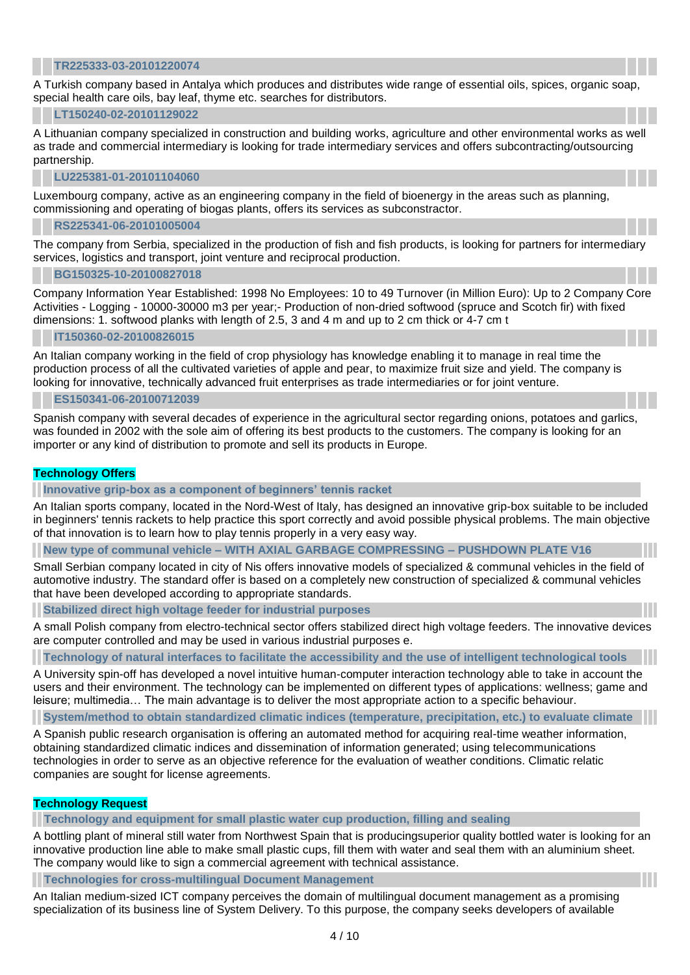#### **[TR225333-03-20101220074](http://www.us-eu-match.com/index.cfm?action=article&publication_id=32860&is_article=1)**

A Turkish company based in Antalya which produces and distributes wide range of essential oils, spices, organic soap, special health care oils, bay leaf, thyme etc. searches for distributors.

#### **[LT150240-02-20101129022](http://www.us-eu-match.com/index.cfm?action=article&publication_id=32295&is_article=1)**

A Lithuanian company specialized in construction and building works, agriculture and other environmental works as well as trade and commercial intermediary is looking for trade intermediary services and offers subcontracting/outsourcing partnership.

### **[LU225381-01-20101104060](http://www.us-eu-match.com/index.cfm?action=article&publication_id=31623&is_article=1)**

Luxembourg company, active as an engineering company in the field of bioenergy in the areas such as planning, commissioning and operating of biogas plants, offers its services as subconstractor.

#### **[RS225341-06-20101005004](http://www.us-eu-match.com/index.cfm?action=article&publication_id=30927&is_article=1)**

The company from Serbia, specialized in the production of fish and fish products, is looking for partners for intermediary services, logistics and transport, joint venture and reciprocal production.

### **[BG150325-10-20100827018](http://www.us-eu-match.com/index.cfm?action=article&publication_id=29943&is_article=1)**

Company Information Year Established: 1998 No Employees: 10 to 49 Turnover (in Million Euro): Up to 2 Company Core Activities - Logging - 10000-30000 m3 per year;- Production of non-dried softwood (spruce and Scotch fir) with fixed dimensions: 1. softwood planks with length of 2.5, 3 and 4 m and up to 2 cm thick or 4-7 cm t

### **[IT150360-02-20100826015](http://www.us-eu-match.com/index.cfm?action=article&publication_id=29927&is_article=1)**

An Italian company working in the field of crop physiology has knowledge enabling it to manage in real time the production process of all the cultivated varieties of apple and pear, to maximize fruit size and yield. The company is looking for innovative, technically advanced fruit enterprises as trade intermediaries or for joint venture.

### **[ES150341-06-20100712039](http://www.us-eu-match.com/index.cfm?action=article&publication_id=29048&is_article=1)**

Spanish company with several decades of experience in the agricultural sector regarding onions, potatoes and garlics, was founded in 2002 with the sole aim of offering its best products to the customers. The company is looking for an importer or any kind of distribution to promote and sell its products in Europe.

### **Technology Offers**

### **[Innovative grip-box as a component of beginners' tennis racket](http://www.us-eu-match.com/index.cfm?action=article&publication_id=33408&is_article=1)**

An Italian sports company, located in the Nord-West of Italy, has designed an innovative grip-box suitable to be included in beginners' tennis rackets to help practice this sport correctly and avoid possible physical problems. The main objective of that innovation is to learn how to play tennis properly in a very easy way.

**New type of communal vehicle – [WITH AXIAL GARBAGE COMPRESSING –](http://www.us-eu-match.com/index.cfm?action=article&publication_id=33407&is_article=1) PUSHDOWN PLATE V16**

Small Serbian company located in city of Nis offers innovative models of specialized & communal vehicles in the field of automotive industry. The standard offer is based on a completely new construction of specialized & communal vehicles that have been developed according to appropriate standards.

### **[Stabilized direct high voltage feeder for industrial purposes](http://www.us-eu-match.com/index.cfm?action=article&publication_id=33406&is_article=1)**

A small Polish company from electro-technical sector offers stabilized direct high voltage feeders. The innovative devices are computer controlled and may be used in various industrial purposes e.

**[Technology of natural interfaces to facilitate the accessibility and the use of intelligent technological tools](http://www.us-eu-match.com/index.cfm?action=article&publication_id=33392&is_article=1)**

A University spin-off has developed a novel intuitive human-computer interaction technology able to take in account the users and their environment. The technology can be implemented on different types of applications: wellness; game and leisure; multimedia… The main advantage is to deliver the most appropriate action to a specific behaviour.

**System/method to obtain [standardized climatic indices \(temperature, precipitation, etc.\) to evaluate climate](http://www.us-eu-match.com/index.cfm?action=article&publication_id=33391&is_article=1)**

A Spanish public research organisation is offering an automated method for acquiring real-time weather information, obtaining standardized climatic indices and dissemination of information generated; using telecommunications technologies in order to serve as an objective reference for the evaluation of weather conditions. Climatic relatic companies are sought for license agreements.

### **Technology Request**

**[Technology and equipment for small plastic water cup production, filling and sealing](http://www.us-eu-match.com/index.cfm?action=article&publication_id=33404&is_article=1)**

A bottling plant of mineral still water from Northwest Spain that is producingsuperior quality bottled water is looking for an innovative production line able to make small plastic cups, fill them with water and seal them with an aluminium sheet. The company would like to sign a commercial agreement with technical assistance.

**[Technologies for cross-multilingual Document Management](http://www.us-eu-match.com/index.cfm?action=article&publication_id=33403&is_article=1)**

An Italian medium-sized ICT company perceives the domain of multilingual document management as a promising specialization of its business line of System Delivery. To this purpose, the company seeks developers of available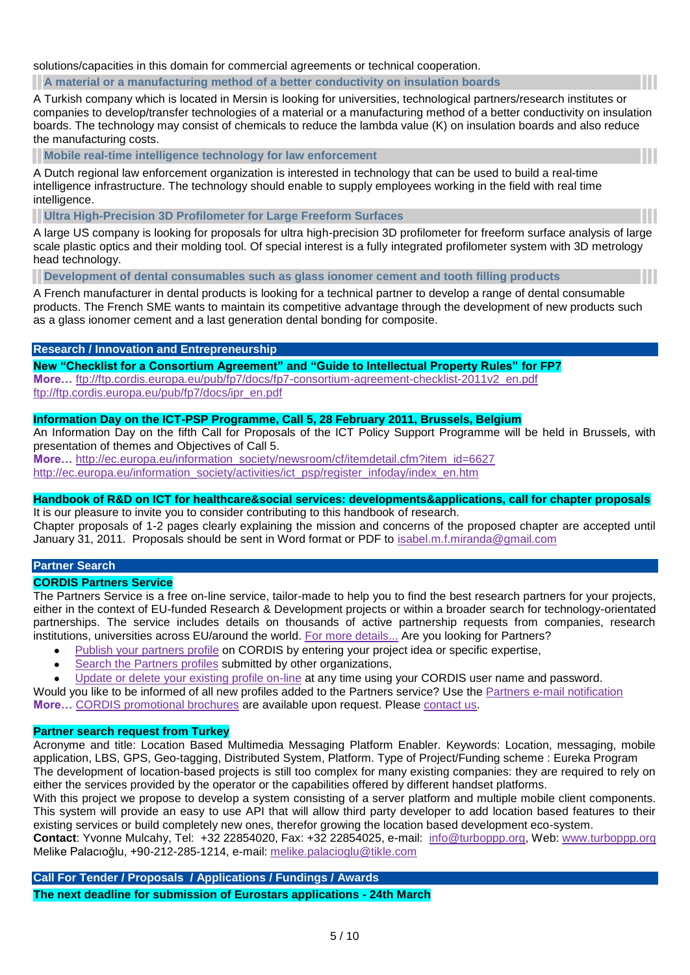solutions/capacities in this domain for commercial agreements or technical cooperation.

#### **[A material or a manufacturing method of a better conductivity on insulation boards](http://www.us-eu-match.com/index.cfm?action=article&publication_id=33400&is_article=1)**

A Turkish company which is located in Mersin is looking for universities, technological partners/research institutes or companies to develop/transfer technologies of a material or a manufacturing method of a better conductivity on insulation boards. The technology may consist of chemicals to reduce the lambda value (K) on insulation boards and also reduce the manufacturing costs.

**[Mobile real-time intelligence technology for law enforcement](http://www.us-eu-match.com/index.cfm?action=article&publication_id=33398&is_article=1)**

A Dutch regional law enforcement organization is interested in technology that can be used to build a real-time intelligence infrastructure. The technology should enable to supply employees working in the field with real time intelligence.

### **[Ultra High-Precision 3D Profilometer for Large Freeform Surfaces](http://www.us-eu-match.com/index.cfm?action=article&publication_id=33222&is_article=1)**

A large US company is looking for proposals for ultra high-precision 3D profilometer for freeform surface analysis of large scale plastic optics and their molding tool. Of special interest is a fully integrated profilometer system with 3D metrology head technology.

**[Development of dental consumables such as glass ionomer cement and tooth filling products](http://www.us-eu-match.com/index.cfm?action=article&publication_id=33386&is_article=1)**

A French manufacturer in dental products is looking for a technical partner to develop a range of dental consumable products. The French SME wants to maintain its competitive advantage through the development of new products such as a glass ionomer cement and a last generation dental bonding for composite.

### **Research / [Innovation and Entrepreneurship](http://www.linkedin.com/newsArticle?viewDiscussion=&articleID=161206652&gid=49176&type=member&item=25948325&goback=%2Egde_49176_member_25948325)**

**New "Checklist for a Consortium Agreement" and "Guide to Intellectual Property Rules" for FP7 More…** [ftp://ftp.cordis.europa.eu/pub/fp7/docs/fp7-consortium-agreement-checklist-2011v2\\_en.pdf](ftp://ftp.cordis.europa.eu/pub/fp7/docs/fp7-consortium-agreement-checklist-2011v2_en.pdf) [ftp://ftp.cordis.europa.eu/pub/fp7/docs/ipr\\_en.pdf](ftp://ftp.cordis.europa.eu/pub/fp7/docs/ipr_en.pdf)

### **Information Day on the ICT-PSP Programme, Call 5, 28 February 2011, Brussels, Belgium**

An Information Day on the fifth Call for Proposals of the ICT Policy Support Programme will be held in Brussels, with presentation of themes and Objectives of Call 5.

**More...** [http://ec.europa.eu/information\\_society/newsroom/cf/itemdetail.cfm?item\\_id=6627](http://ec.europa.eu/information_society/newsroom/cf/itemdetail.cfm?item_id=6627) [http://ec.europa.eu/information\\_society/activities/ict\\_psp/register\\_infoday/index\\_en.htm](http://ec.europa.eu/information_society/activities/ict_psp/register_infoday/index_en.htm)

### **Handbook of R&D on ICT for healthcare&social services: developments&applications, call for chapter proposals**

It is our pleasure to invite you to consider contributing to this handbook of research. Chapter proposals of 1-2 pages clearly explaining the mission and concerns of the proposed chapter are accepted until January 31, 2011. Proposals should be sent in Word format or PDF to [isabel.m.f.miranda@gmail.com](mailto:isabel.m.f.miranda%40gmail.com)

#### **Partner Search**

#### **CORDIS Partners Service**

The Partners Service is a free on-line service, tailor-made to help you to find the best research partners for your projects, either in the context of EU-funded Research & Development projects or within a broader search for technology-orientated partnerships. The service includes details on thousands of active partnership requests from companies, research institutions, universities across EU/around the world. [For more details...](http://cordis.europa.eu/partners-service/help_en.html) Are you looking for Partners?

- $\bullet$ [Publish your partners profile](http://cordis.europa.eu/partners-service/dc/index.cfm?fuseaction=connexion.dologin&location=create.create§ion=Partners) on CORDIS by entering your project idea or specific expertise,
- [Search the Partners profiles](http://cordis.europa.eu/partners-service/search_en.html) submitted by other organizations,  $\bullet$
- [Update or delete your existing profile on-line](http://cordis.europa.eu/partners-service/dc/index.cfm?fuseaction=connexion.dologin&location=update.listProfile§ion=Partners) at any time using your CORDIS user name and password.

Would you like to be informed of all new profiles added to the Partners service? Use the [Partners e-mail notification](http://cordis.europa.eu/partners-service/email_en.html) **More…** [CORDIS promotional brochures](http://cordis.europa.eu/guidance/brochures_en.html) are available upon request. Please [contact us.](http://cordis.europa.eu/MailAnon/index.cfm?fuseaction=Hiding.PostalForm&address=006e002e006300680061006b007200610062006100720074006900400063006f0072006400690073002e006500750072006f00700061002e00650075&name=)

#### **Partner search request from Turkey**

Acronyme and title: Location Based Multimedia Messaging Platform Enabler. Keywords: Location, messaging, mobile application, LBS, GPS, Geo-tagging, Distributed System, Platform. Type of Project/Funding scheme : Eureka Program The development of location-based projects is still too complex for many existing companies: they are required to rely on either the services provided by the operator or the capabilities offered by different handset platforms.

With this project we propose to develop a system consisting of a server platform and multiple mobile client components. This system will provide an easy to use API that will allow third party developer to add location based features to their existing services or build completely new ones, therefor growing the location based development eco-system.

**Contact**: Yvonne Mulcahy, Tel: +32 22854020, Fax: +32 22854025, e-mail: [info@turboppp.org,](mailto:info@turboppp.org) Web: [www.turboppp.org](http://www.turboppp.org/) Melike Palacıoğlu, +90-212-285-1214, e-mail: [melike.palacioglu@tikle.com](mailto:melike.palacioglu@tikle.com)

**Call For Tender / Proposals / Applications / Fundings / Awards The next deadline for submission of Eurostars applications - 24th March**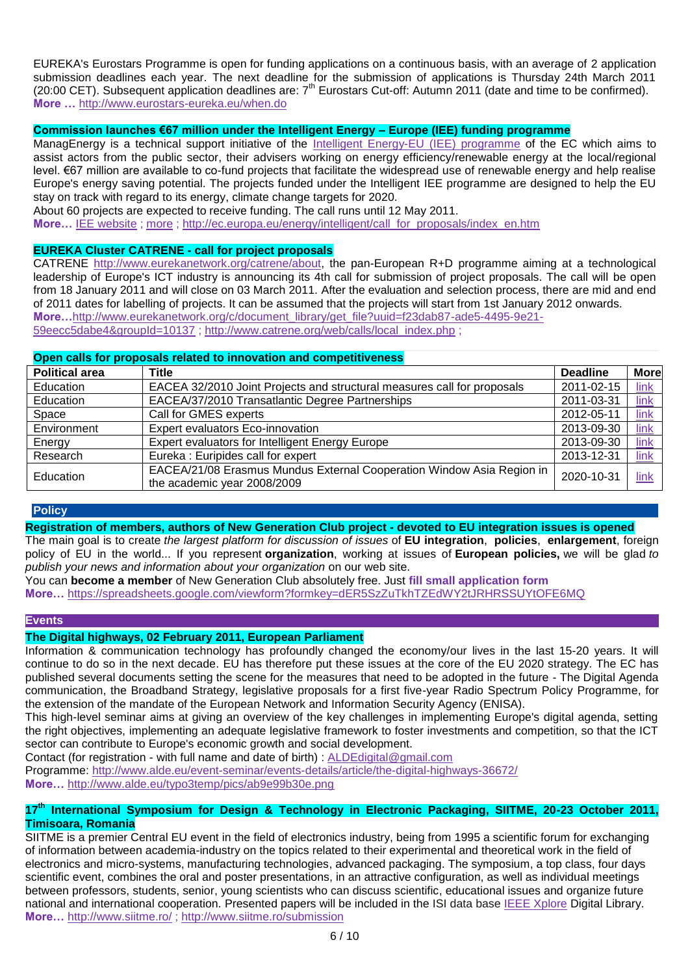EUREKA's Eurostars Programme is open for funding applications on a continuous basis, with an average of 2 application submission deadlines each year. The next deadline for the submission of applications is Thursday 24th March 2011 (20:00 CET). Subsequent application deadlines are:  $7<sup>th</sup>$  Eurostars Cut-off: Autumn 2011 (date and time to be confirmed). **More …** <http://www.eurostars-eureka.eu/when.do>

## **Commission launches €67 million under the Intelligent Energy – Europe (IEE) funding programme**

ManagEnergy is a technical support initiative of the [Intelligent Energy-EU](http://ec.europa.eu/energy/intelligent/index_en.html) (IEE) programme of the EC which aims to assist actors from the public sector, their advisers working on energy efficiency/renewable energy at the local/regional level. €67 million are available to co-fund projects that facilitate the widespread use of renewable energy and help realise Europe's energy saving potential. The projects funded under the Intelligent IEE programme are designed to help the EU stay on track with regard to its energy, climate change targets for 2020.

About 60 projects are expected to receive funding. The call runs until 12 May 2011.

**More…** [IEE website](http://ec.europa.eu/energy/intelligent/call_for_proposals/call_library_en.htm) ; [more](http://www.managenergy.net/whatismanagenergy.html) ; [http://ec.europa.eu/energy/intelligent/call\\_for\\_proposals/index\\_en.htm](http://ec.europa.eu/energy/intelligent/call_for_proposals/index_en.htm)

## **EUREKA Cluster CATRENE - call for project proposals**

CATRENE [http://www.eurekanetwork.org/catrene/about,](http://www.eurekanetwork.org/catrene/about) the pan-European R+D programme aiming at a technological leadership of Europe's ICT industry is announcing its 4th call for submission of project proposals. The call will be open from 18 January 2011 and will close on 03 March 2011. After the evaluation and selection process, there are mid and end of 2011 dates for labelling of projects. It can be assumed that the projects will start from 1st January 2012 onwards. **More…**[http://www.eurekanetwork.org/c/document\\_library/get\\_file?uuid=f23dab87-ade5-4495-9e21-](http://www.eurekanetwork.org/c/document_library/get_file?uuid=f23dab87-ade5-4495-9e21-59eecc5dabe4&groupId=10137) [59eecc5dabe4&groupId=10137](http://www.eurekanetwork.org/c/document_library/get_file?uuid=f23dab87-ade5-4495-9e21-59eecc5dabe4&groupId=10137) ; [http://www.catrene.org/web/calls/local\\_index.php](http://www.catrene.org/web/calls/local_index.php) ;

### **Open calls for proposals related to innovation and competitiveness**

| <b>Political area</b> | <b>Title</b>                                                                                         | <b>Deadline</b> | <b>More</b> |
|-----------------------|------------------------------------------------------------------------------------------------------|-----------------|-------------|
| Education             | EACEA 32/2010 Joint Projects and structural measures call for proposals                              | 2011-02-15      | $link$      |
| Education             | EACEA/37/2010 Transatlantic Degree Partnerships                                                      | 2011-03-31      | link        |
| Space                 | Call for GMES experts                                                                                | 2012-05-11      | link        |
| Environment           | <b>Expert evaluators Eco-innovation</b>                                                              | 2013-09-30      | link        |
| Energy                | Expert evaluators for Intelligent Energy Europe                                                      | 2013-09-30      | link        |
| Research              | Eureka: Euripides call for expert                                                                    | 2013-12-31      | link        |
| Education             | EACEA/21/08 Erasmus Mundus External Cooperation Window Asia Region in<br>the academic year 2008/2009 | 2020-10-31      | link        |

### **Policy**

**Registration of members, authors of New Generation Club project - devoted to EU integration issues is opened**

The main goal is to create *the largest platform for discussion of issues* of **EU integration**, **policies**, **enlargement**, foreign policy of EU in the world... If you represent **organization**, working at issues of **European policies,** we will be glad *to publish your news and information about your organization* on our web site.

You can **become a member** of New Generation Club absolutely free. Just **[fill small application form](https://spreadsheets.google.com/viewform?formkey=dER5SzZuTkhTZEdWY2tJRHRSSUYtOFE6MQ)**

**More…** <https://spreadsheets.google.com/viewform?formkey=dER5SzZuTkhTZEdWY2tJRHRSSUYtOFE6MQ>

#### **Events**

## **The Digital highways, 02 February 2011, European Parliament**

Information & communication technology has profoundly changed the economy/our lives in the last 15-20 years. It will continue to do so in the next decade. EU has therefore put these issues at the core of the EU 2020 strategy. The EC has published several documents setting the scene for the measures that need to be adopted in the future - The Digital Agenda communication, the Broadband Strategy, legislative proposals for a first five-year Radio Spectrum Policy Programme, for the extension of the mandate of the European Network and Information Security Agency (ENISA).

This high-level seminar aims at giving an overview of the key challenges in implementing Europe's digital agenda, setting the right objectives, implementing an adequate legislative framework to foster investments and competition, so that the ICT sector can contribute to Europe's economic growth and social development.

Contact (for registration - with full name and date of birth) : [ALDEdigital@gmail.com](mailto:ALDEdigital%40gmail.com) Programme:<http://www.alde.eu/event-seminar/events-details/article/the-digital-highways-36672/> **More…** <http://www.alde.eu/typo3temp/pics/ab9e99b30e.png>

### **17th International Symposium for Design & Technology in Electronic Packaging, SIITME, 20-23 October 2011, Timisoara, Romania**

SIITME is a premier Central EU event in the field of electronics industry, being from 1995 a scientific forum for exchanging of information between academia-industry on the topics related to their experimental and theoretical work in the field of electronics and micro-systems, manufacturing technologies, advanced packaging. The symposium, a top class, four days scientific event, combines the oral and poster presentations, in an attractive configuration, as well as individual meetings between professors, students, senior, young scientists who can discuss scientific, educational issues and organize future national and international cooperation. Presented papers will be included in the ISI data base [IEEE Xplore](http://ieeexplore.ieee.org/Xplore/guesthome.jsp?reload=true) Digital Library. **More…** <http://www.siitme.ro/> ;<http://www.siitme.ro/submission>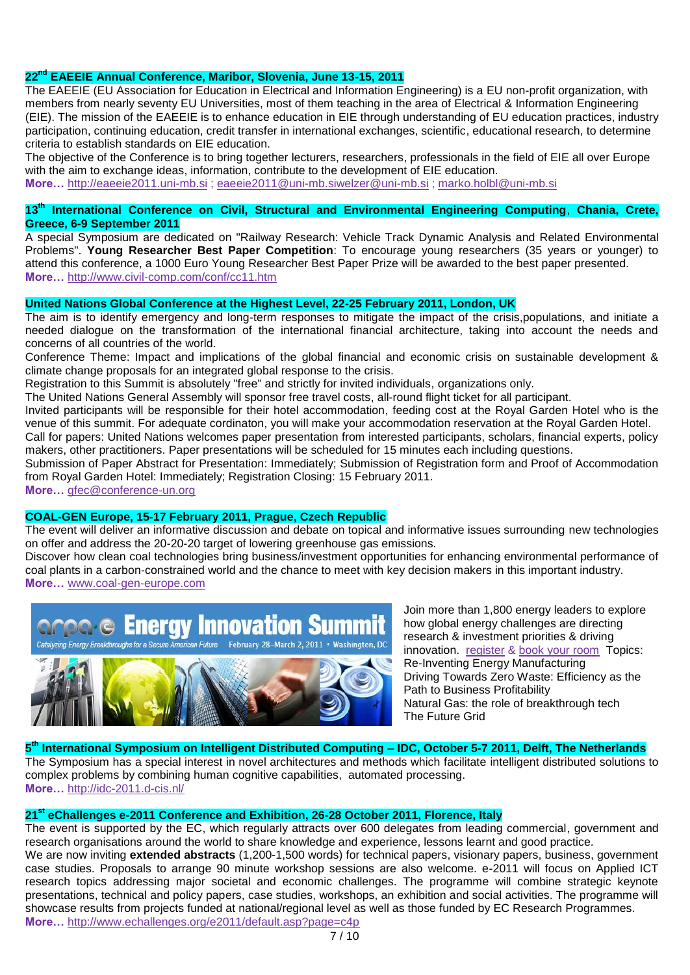### **22nd EAEEIE Annual Conference, Maribor, Slovenia, June 13-15, 2011**

The EAEEIE (EU Association for Education in Electrical and Information Engineering) is a EU non-profit organization, with members from nearly seventy EU Universities, most of them teaching in the area of Electrical & Information Engineering (EIE). The mission of the EAEEIE is to enhance education in EIE through understanding of EU education practices, industry participation, continuing education, credit transfer in international exchanges, scientific, educational research, to determine criteria to establish standards on EIE education.

The objective of the Conference is to bring together lecturers, researchers, professionals in the field of EIE all over Europe with the aim to exchange ideas, information, contribute to the development of EIE education.

**More…** [http://eaeeie2011.uni-mb.si](http://eaeeie2011.uni-mb.si/) ; [eaeeie2011@uni-mb.siwelzer@uni-mb.si](mailto:eaeeie2011@uni-mb.si) ; [marko.holbl@uni-mb.si](mailto:marko.holbl@uni-mb.si)

### **13th International Conference on Civil, Structural and Environmental Engineering Computing**, **Chania, Crete, Greece, 6-9 September 2011**

A special Symposium are dedicated on "Railway Research: Vehicle Track Dynamic Analysis and Related Environmental Problems". **Young Researcher Best Paper Competition**: To encourage young researchers (35 years or younger) to attend this conference, a 1000 Euro Young Researcher Best Paper Prize will be awarded to the best paper presented. **More…** <http://www.civil-comp.com/conf/cc11.htm>

### **United Nations Global Conference at the Highest Level, 22-25 February 2011, London, UK**

The aim is to identify emergency and long-term responses to mitigate the impact of the crisis,populations, and initiate a needed dialogue on the transformation of the international financial architecture, taking into account the needs and concerns of all countries of the world.

Conference Theme: Impact and implications of the global financial and economic crisis on sustainable development & climate change proposals for an integrated global response to the crisis.

Registration to this Summit is absolutely "free" and strictly for invited individuals, organizations only.

The United Nations General Assembly will sponsor free travel costs, all-round flight ticket for all participant.

Invited participants will be responsible for their hotel accommodation, feeding cost at the Royal Garden Hotel who is the venue of this summit. For adequate cordinaton, you will make your accommodation reservation at the Royal Garden Hotel. Call for papers: United Nations welcomes paper presentation from interested participants, scholars, financial experts, policy makers, other practitioners. Paper presentations will be scheduled for 15 minutes each including questions.

Submission of Paper Abstract for Presentation: Immediately; Submission of Registration form and Proof of Accommodation from Royal Garden Hotel: Immediately; Registration Closing: 15 February 2011.

**More…** [gfec@conference-un.org](mailto:gfec@conference-un.org)

## **COAL-GEN Europe, 15-17 February 2011, Prague, Czech Republic**

The event will deliver an informative discussion and debate on topical and informative issues surrounding new technologies on offer and address the 20-20-20 target of lowering greenhouse gas emissions.

Discover how clean coal technologies bring business/investment opportunities for enhancing environmental performance of coal plants in a carbon-constrained world and the chance to meet with key decision makers in this important industry. **More…** [www.coal-gen-europe.com](http://www.coal-gen-europe.com/) 





**More…** <http://www.echallenges.org/e2011/default.asp?page=c4p>

Join more than 1,800 energy leaders to explore how global energy challenges are directing research & investment priorities & driving innovation. [register](http://r20.rs6.net/tn.jsp?llr=d5tylfcab&et=1104240672118&s=169998&e=001P0Pp1RsfUk-5DACLMmmIvJie_LKZS9aoRi1w6uYeiKqrW1OI3iT2j-mQHhJIi6YnnSMVJV0xt5fnTjNCZxms-dn3YhT7Htu87OdfRrYryJ77Z4Empv5PJkYhvBeMuF7SPyQLINyC3fZyGDn0XEL49d0VsFXWDZsFZbuUQeOnvqw=) & [book your room](http://r20.rs6.net/tn.jsp?llr=d5tylfcab&et=1104240672118&s=169998&e=001P0Pp1RsfUk9Ow_60pqy6sM06ySeUvpAC1WRu9K_6lVoMkvvZLSNaJMk9o5Pze6hYUZP5KadQ6b1FsvDR0g3OGZT7cequMX13lM0KzG6xfy3TPCd-H3bNMuWxvxo340SqbyDQDzETR67mbNs28P7M796kha_sqX2bQcyWegYGwFfZkxWIS6kzgQ==) Topics: Re-Inventing Energy Manufacturing Driving Towards Zero Waste: Efficiency as the Path to Business Profitability Natural Gas: the role of breakthrough tech The Future Grid

## **5 th International Symposium on Intelligent Distributed Computing – IDC, October 5-7 2011, Delft, The Netherlands**

The Symposium has a special interest in novel architectures and methods which facilitate intelligent distributed solutions to complex problems by combining human cognitive capabilities, automated processing. **More…** <http://idc-2011.d-cis.nl/>

## **21st eChallenges e-2011 Conference and Exhibition, 26-28 October 2011, Florence, Italy**

The event is supported by the EC, which regularly attracts over 600 delegates from leading commercial, government and research organisations around the world to share knowledge and experience, lessons learnt and good practice. We are now inviting **extended abstracts** (1,200-1,500 words) for technical papers, visionary papers, business, government case studies. Proposals to arrange 90 minute workshop sessions are also welcome. e-2011 will focus on Applied ICT research topics addressing major societal and economic challenges. The programme will combine strategic keynote presentations, technical and policy papers, case studies, workshops, an exhibition and social activities. The programme will

showcase results from projects funded at national/regional level as well as those funded by EC Research Programmes.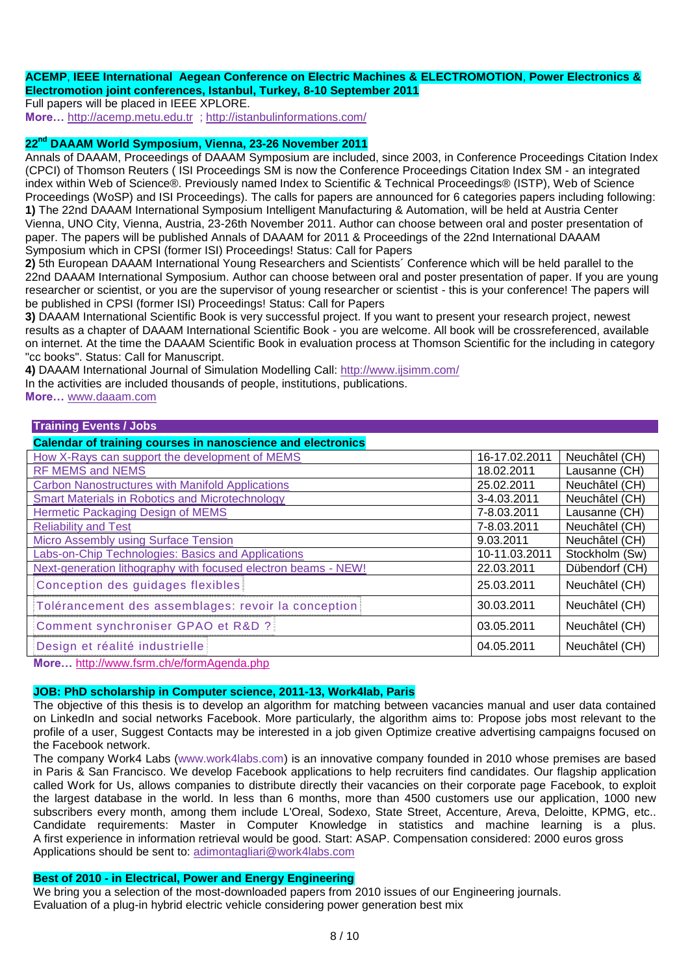### **ACEMP**, **IEEE International Aegean Conference on Electric Machines & ELECTROMOTION**, **Power Electronics & Electromotion joint conferences, Istanbul, Turkey, 8-10 September 2011**

Full papers will be placed in IEEE XPLORE.

**More…** [http://acemp.metu.edu.tr](http://acemp.metu.edu.tr/) ;<http://istanbulinformations.com/>

### **22nd DAAAM World Symposium, Vienna, 23-26 November 2011**

Annals of DAAAM, Proceedings of DAAAM Symposium are included, since 2003, in Conference Proceedings Citation Index (CPCI) of Thomson Reuters ( ISI Proceedings SM is now the Conference Proceedings Citation Index SM - an integrated index within Web of Science®. Previously named Index to Scientific & Technical Proceedings® (ISTP), Web of Science Proceedings (WoSP) and ISI Proceedings). The calls for papers are announced for 6 categories papers including following: **1)** The 22nd DAAAM International Symposium Intelligent Manufacturing & Automation, will be held at Austria Center Vienna, UNO City, Vienna, Austria, 23-26th November 2011. Author can choose between oral and poster presentation of paper. The papers will be published Annals of DAAAM for 2011 & Proceedings of the 22nd International DAAAM Symposium which in CPSI (former ISI) Proceedings! Status: Call for Papers

**2)** 5th European DAAAM International Young Researchers and Scientists´ Conference which will be held parallel to the 22nd DAAAM International Symposium. Author can choose between oral and poster presentation of paper. If you are young researcher or scientist, or you are the supervisor of young researcher or scientist - this is your conference! The papers will be published in CPSI (former ISI) Proceedings! Status: Call for Papers

**3)** DAAAM International Scientific Book is very successful project. If you want to present your research project, newest results as a chapter of DAAAM International Scientific Book - you are welcome. All book will be crossreferenced, available on internet. At the time the DAAAM Scientific Book in evaluation process at Thomson Scientific for the including in category "cc books". Status: Call for Manuscript.

**4)** DAAAM International Journal of Simulation Modelling Call:<http://www.ijsimm.com/>

In the activities are included thousands of people, institutions, publications.

**More…** [www.daaam.com](http://www.daaam.com/)

## **Training Events / Jobs**

| <b>Calendar of training courses in nanoscience and electronics</b> |               |                |  |  |
|--------------------------------------------------------------------|---------------|----------------|--|--|
| How X-Rays can support the development of MEMS                     | 16-17.02.2011 | Neuchâtel (CH) |  |  |
| <b>RF MEMS and NEMS</b>                                            | 18.02.2011    | Lausanne (CH)  |  |  |
| <b>Carbon Nanostructures with Manifold Applications</b>            | 25.02.2011    | Neuchâtel (CH) |  |  |
| <b>Smart Materials in Robotics and Microtechnology</b>             | 3-4.03.2011   | Neuchâtel (CH) |  |  |
| <b>Hermetic Packaging Design of MEMS</b>                           | 7-8.03.2011   | Lausanne (CH)  |  |  |
| <b>Reliability and Test</b>                                        | 7-8.03.2011   | Neuchâtel (CH) |  |  |
| <b>Micro Assembly using Surface Tension</b>                        | 9.03.2011     | Neuchâtel (CH) |  |  |
| <b>Labs-on-Chip Technologies: Basics and Applications</b>          | 10-11.03.2011 | Stockholm (Sw) |  |  |
| Next-generation lithography with focused electron beams - NEW!     | 22.03.2011    | Dübendorf (CH) |  |  |
| Conception des guidages flexibles                                  | 25.03.2011    | Neuchâtel (CH) |  |  |
| Tolérancement des assemblages: revoir la conception                | 30.03.2011    | Neuchâtel (CH) |  |  |
| Comment synchroniser GPAO et R&D ?                                 | 03.05.2011    | Neuchâtel (CH) |  |  |
| Design et réalité industrielle                                     | 04.05.2011    | Neuchâtel (CH) |  |  |

**More…** <http://www.fsrm.ch/e/formAgenda.php>

# **JOB: PhD scholarship in Computer science, 2011-13, Work4lab, Paris**

The objective of this thesis is to develop an algorithm for matching between vacancies manual and user data contained on LinkedIn and social networks Facebook. More particularly, the algorithm aims to: Propose jobs most relevant to the profile of a user, Suggest Contacts may be interested in a job given Optimize creative advertising campaigns focused on the Facebook network.

The company Work4 Labs (www.work4labs.com) is an innovative company founded in 2010 whose premises are based in Paris & San Francisco. We develop Facebook applications to help recruiters find candidates. Our flagship application called Work for Us, allows companies to distribute directly their vacancies on their corporate page Facebook, to exploit the largest database in the world. In less than 6 months, more than 4500 customers use our application, 1000 new subscribers every month, among them include L'Oreal, Sodexo, State Street, Accenture, Areva, Deloitte, KPMG, etc.. Candidate requirements: Master in Computer Knowledge in statistics and machine learning is a plus. A first experience in information retrieval would be good. Start: ASAP. Compensation considered: 2000 euros gross Applications should be sent to: [adimontagliari@work4labs.com](mailto:adimontagliari%40work4labs.com)

## **Best of 2010 - in Electrical, Power and Energy Engineering**

We bring you a selection of the most-downloaded papers from 2010 issues of our Engineering journals. Evaluation of a plug-in hybrid electric vehicle considering power generation best mix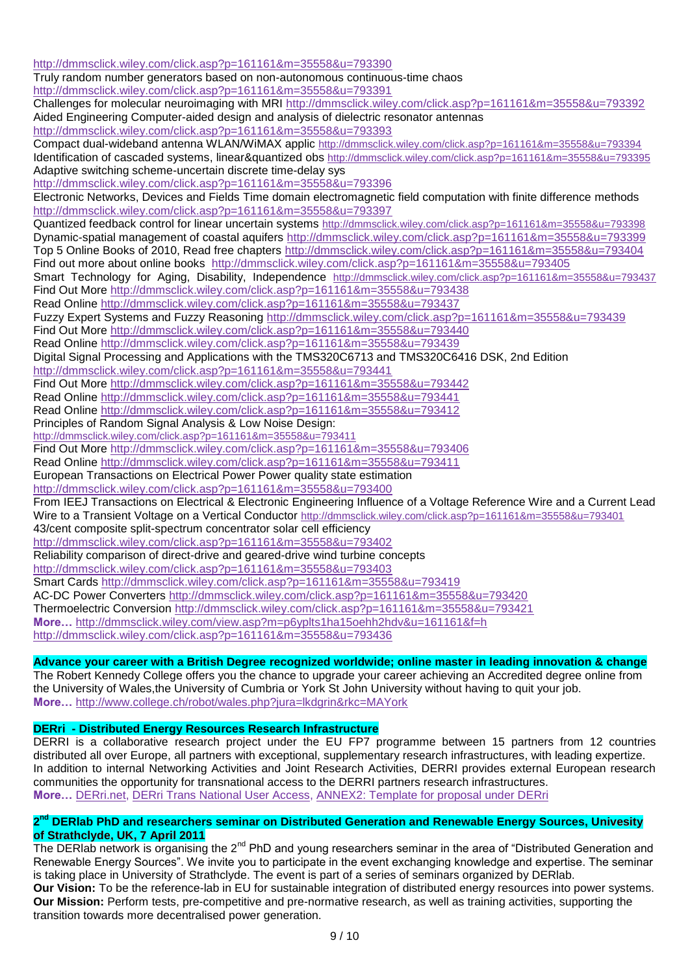<http://dmmsclick.wiley.com/click.asp?p=161161&m=35558&u=793390> Truly random number generators based on non-autonomous continuous-time chaos <http://dmmsclick.wiley.com/click.asp?p=161161&m=35558&u=793391> Challenges for molecular neuroimaging with MRI <http://dmmsclick.wiley.com/click.asp?p=161161&m=35558&u=793392> Aided Engineering Computer-aided design and analysis of dielectric resonator antennas <http://dmmsclick.wiley.com/click.asp?p=161161&m=35558&u=793393> Compact dual-wideband antenna WLAN/WiMAX applic <http://dmmsclick.wiley.com/click.asp?p=161161&m=35558&u=793394> Identification of cascaded systems, linear&quantized obs <http://dmmsclick.wiley.com/click.asp?p=161161&m=35558&u=793395> Adaptive switching scheme-uncertain discrete time-delay sys <http://dmmsclick.wiley.com/click.asp?p=161161&m=35558&u=793396> Electronic Networks, Devices and Fields Time domain electromagnetic field computation with finite difference methods <http://dmmsclick.wiley.com/click.asp?p=161161&m=35558&u=793397> Quantized feedback control for linear uncertain systems <http://dmmsclick.wiley.com/click.asp?p=161161&m=35558&u=793398> Dynamic-spatial management of coastal aquifers <http://dmmsclick.wiley.com/click.asp?p=161161&m=35558&u=793399> Top 5 Online Books of 2010, Read free chapters <http://dmmsclick.wiley.com/click.asp?p=161161&m=35558&u=793404> Find out more about online books <http://dmmsclick.wiley.com/click.asp?p=161161&m=35558&u=793405> Smart Technology for Aging, Disability, Independence <http://dmmsclick.wiley.com/click.asp?p=161161&m=35558&u=793437> Find Out More<http://dmmsclick.wiley.com/click.asp?p=161161&m=35558&u=793438> Read Online<http://dmmsclick.wiley.com/click.asp?p=161161&m=35558&u=793437> Fuzzy Expert Systems and Fuzzy Reasoning<http://dmmsclick.wiley.com/click.asp?p=161161&m=35558&u=793439> Find Out More<http://dmmsclick.wiley.com/click.asp?p=161161&m=35558&u=793440> Read Online<http://dmmsclick.wiley.com/click.asp?p=161161&m=35558&u=793439> Digital Signal Processing and Applications with the TMS320C6713 and TMS320C6416 DSK, 2nd Edition <http://dmmsclick.wiley.com/click.asp?p=161161&m=35558&u=793441> Find Out More<http://dmmsclick.wiley.com/click.asp?p=161161&m=35558&u=793442> Read Online<http://dmmsclick.wiley.com/click.asp?p=161161&m=35558&u=793441> Read Online<http://dmmsclick.wiley.com/click.asp?p=161161&m=35558&u=793412> Principles of Random Signal Analysis & Low Noise Design: <http://dmmsclick.wiley.com/click.asp?p=161161&m=35558&u=793411> Find Out More<http://dmmsclick.wiley.com/click.asp?p=161161&m=35558&u=793406> Read Online<http://dmmsclick.wiley.com/click.asp?p=161161&m=35558&u=793411> European Transactions on Electrical Power Power quality state estimation <http://dmmsclick.wiley.com/click.asp?p=161161&m=35558&u=793400> From IEEJ Transactions on Electrical & Electronic Engineering Influence of a Voltage Reference Wire and a Current Lead Wire to a Transient Voltage on a Vertical Conductor <http://dmmsclick.wiley.com/click.asp?p=161161&m=35558&u=793401> 43/cent composite split-spectrum concentrator solar cell efficiency <http://dmmsclick.wiley.com/click.asp?p=161161&m=35558&u=793402> Reliability comparison of direct-drive and geared-drive wind turbine concepts <http://dmmsclick.wiley.com/click.asp?p=161161&m=35558&u=793403> Smart Cards<http://dmmsclick.wiley.com/click.asp?p=161161&m=35558&u=793419> AC-DC Power Converters<http://dmmsclick.wiley.com/click.asp?p=161161&m=35558&u=793420> Thermoelectric Conversion<http://dmmsclick.wiley.com/click.asp?p=161161&m=35558&u=793421> **More…** <http://dmmsclick.wiley.com/view.asp?m=p6yplts1ha15oehh2hdv&u=161161&f=h> <http://dmmsclick.wiley.com/click.asp?p=161161&m=35558&u=793436>

# **Advance your career with a British Degree recognized worldwide; online master in leading [innovation](http://www.linkedin.com/csp/crd?v=1&cs=0_BNS1rCzx8GLf5IDPenkmGxutBgcsasMbQYENe6SGsxNHcDznutCP4Em24rFK3MzQ7SuouLQkUXDyE1c2MdQjBOSpyI41PaUWMzYBERuXoTTy_i6a1FLRjfrys8SFCxId79IY8C37u3RIsB9mOCAg2yjLKj6_pVLi6SoTWqN1NBHjWwdXRJWlyVF8BzLZrfzmtSS4ep7mzREleQT1gq51dnwQB84sYPUB0V_Q5SFUpDi0Zk6aTCSLdm1QTKiV6T7c7NCIVq2x5Va9ajDG0bASRcjrCS-KNe1RJhOR32BXtIC3aPFGFVc50RWtc2-l8IhUzkfh0tsiSnXylEsHLrcVhkw5MrbG7b_YQF_COmq5WA0ax5b30iUXagOgQ0VSSQSl) & change**

The Robert Kennedy College offers you the chance to upgrade your career achieving an Accredited degree online from the University of Wales,the University of Cumbria or York St John University without having to quit your job. **More…** <http://www.college.ch/robot/wales.php?jura=lkdgrin&rkc=MAYork>

# **DERri - Distributed Energy Resources Research Infrastructure**

DERRI is a collaborative research project under the EU FP7 programme between 15 partners from 12 countries distributed all over Europe, all partners with exceptional, supplementary research infrastructures, with leading expertize. In addition to internal Networking Activities and Joint Research Activities, DERRI provides external European research communities the opportunity for transnational access to the DERRI partners research infrastructures. **More…** [DERri.net,](http://www.der-ri.net/) [DERri Trans National User Access,](http://www.ipacv.ro/ro4een/documente/DERri_Transnational_User_Access.doc) [ANNEX2: Template for proposal under DERri](http://www.ipacv.ro/ro4een/documente/ANNEX_2-Template_for_Proposal_under_DERri.doc) 

## 2<sup>nd</sup> DERIab PhD and researchers seminar on Distributed Generation and Renewable Energy Sources, Univesity **of Strathclyde, UK, 7 April 2011**

The DERIab network is organising the 2<sup>nd</sup> PhD and young researchers seminar in the area of "Distributed Generation and Renewable Energy Sources". We invite you to participate in the event exchanging knowledge and expertise. The seminar is taking place in University of Strathclyde. The event is part of a series of seminars organized by DERlab.

**Our Vision:** To be the reference-lab in EU for sustainable integration of distributed energy resources into power systems. **Our Mission:** Perform tests, pre-competitive and pre-normative research, as well as training activities, supporting the transition towards more decentralised power generation.